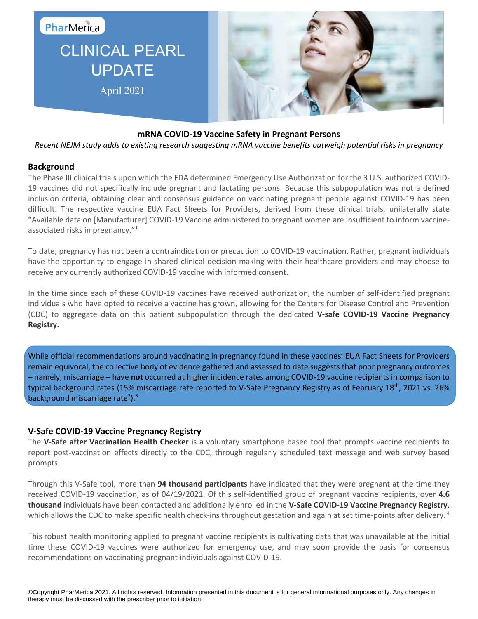

# **CLINICAL PEARL UPDATE** April 2021



### **mRNA COVID-19 Vaccine Safety in Pregnant Persons**

*Recent NEJM study adds to existing research suggesting mRNA vaccine benefits outweigh potential risks in pregnancy*

### **Background**

The Phase III clinical trials upon which the FDA determined Emergency Use Authorization for the 3 U.S. authorized COVID-19 vaccines did not specifically include pregnant and lactating persons. Because this subpopulation was not a defined inclusion criteria, obtaining clear and consensus guidance on vaccinating pregnant people against COVID-19 has been difficult. The respective vaccine EUA Fact Sheets for Providers, derived from these clinical trials, unilaterally state "Available data on [Manufacturer] COVID-19 Vaccine administered to pregnant women are insufficient to inform vaccineassociated risks in pregnancy."<sup>1</sup>

To date, pregnancy has not been a contraindication or precaution to COVID-19 vaccination. Rather, pregnant individuals have the opportunity to engage in shared clinical decision making with their healthcare providers and may choose to receive any currently authorized COVID-19 vaccine with informed consent.

In the time since each of these COVID-19 vaccines have received authorization, the number of self-identified pregnant individuals who have opted to receive a vaccine has grown, allowing for the Centers for Disease Control and Prevention (CDC) to aggregate data on this patient subpopulation through the dedicated **V-safe COVID-19 Vaccine Pregnancy Registry.**

While official recommendations around vaccinating in pregnancy found in these vaccines' EUA Fact Sheets for Providers remain equivocal, the collective body of evidence gathered and assessed to date suggests that poor pregnancy outcomes – namely, miscarriage – have **not** occurred at higher incidence rates among COVID-19 vaccine recipients in comparison to typical background rates (15% miscarriage rate reported to V-Safe Pregnancy Registry as of February 18<sup>th</sup>, 2021 vs. 26% background miscarriage rate<sup>2</sup>).<sup>3</sup>

### **V-Safe COVID-19 Vaccine Pregnancy Registry**

The **V-Safe after Vaccination Health Checker** is a voluntary smartphone based tool that prompts vaccine recipients to report post-vaccination effects directly to the CDC, through regularly scheduled text message and web survey based prompts.

Through this V-Safe tool, more than **94 thousand participants** have indicated that they were pregnant at the time they received COVID-19 vaccination, as of 04/19/2021. Of this self-identified group of pregnant vaccine recipients, over **4.6 thousand** individuals have been contacted and additionally enrolled in the **V-Safe COVID-19 Vaccine Pregnancy Registry**, which allows the CDC to make specific health check-ins throughout gestation and again at set time-points after delivery.<sup>4</sup>

This robust health monitoring applied to pregnant vaccine recipients is cultivating data that was unavailable at the initial time these COVID-19 vaccines were authorized for emergency use, and may soon provide the basis for consensus recommendations on vaccinating pregnant individuals against COVID-19.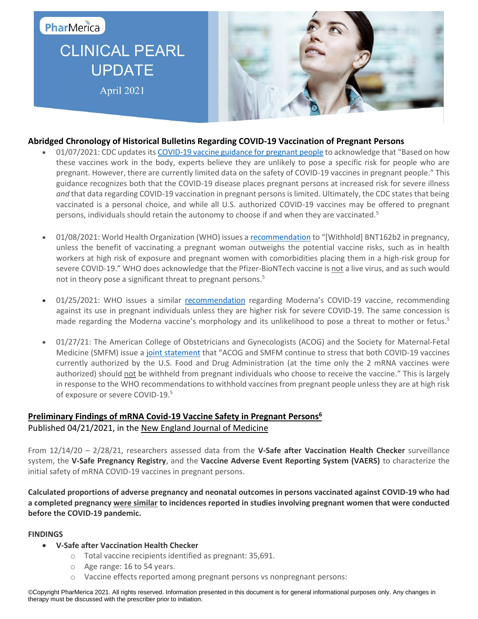## PharMerica

# **CLINICAL PEARL UPDATE** April 2021



### **Abridged Chronology of Historical Bulletins Regarding COVID-19 Vaccination of Pregnant Persons**

- 01/07/2021: CDC updates its [COVID-19 vaccine guidance for pregnant people](https://www.cdc.gov/coronavirus/2019-ncov/vaccines/recommendations/pregnancy.html) to acknowledge that "Based on how these vaccines work in the body, experts believe they are unlikely to pose a specific risk for people who are pregnant. However, there are currently limited data on the safety of COVID-19 vaccines in pregnant people." This guidance recognizes both that the COVID-19 disease places pregnant persons at increased risk for severe illness *and* that data regarding COVID-19 vaccination in pregnant persons is limited. Ultimately, the CDC states that being vaccinated is a personal choice, and while all U.S. authorized COVID-19 vaccines may be offered to pregnant persons, individuals should retain the autonomy to choose if and when they are vaccinated.<sup>5</sup>
- 01/08/2021: World Health Organization (WHO) issues [a recommendation](file:///C:/Users/kxb4100/Downloads/WHO-2019-nCoV-vaccines-SAGE_recommendation-BNT162b2-2021.1-eng.pdf) to "[Withhold] BNT162b2 in pregnancy, unless the benefit of vaccinating a pregnant woman outweighs the potential vaccine risks, such as in health workers at high risk of exposure and pregnant women with comorbidities placing them in a high-risk group for severe COVID-19." WHO does acknowledge that the Pfizer-BioNTech vaccine is not a live virus, and as such would not in theory pose a significant threat to pregnant persons.<sup>5</sup>
- 01/25/2021: WHO issues a similar [recommendation](file:///C:/Users/kxb4100/Downloads/WHO-2019-nCoV-vaccines-SAGE_recommendation-mRNA-1273-2021.1-eng.pdf) regarding Moderna's COVID-19 vaccine, recommending against its use in pregnant individuals unless they are higher risk for severe COVID-19. The same concession is made regarding the Moderna vaccine's morphology and its unlikelihood to pose a threat to mother or fetus.<sup>5</sup>
- 01/27/21: The American College of Obstetricians and Gynecologists (ACOG) and the Society for Maternal-Fetal Medicine (SMFM) issue a [joint statement](https://www.acog.org/news/news-releases/2021/01/acog-and-smfm-joint-statement-on-who-recommendations-regarding-covid-19-vaccines-and-pregnant-individuals) that "ACOG and SMFM continue to stress that both COVID-19 vaccines currently authorized by the U.S. Food and Drug Administration (at the time only the 2 mRNA vaccines were authorized) should not be withheld from pregnant individuals who choose to receive the vaccine." This is largely in response to the WHO recommendations to withhold vaccines from pregnant people unless they are at high risk of exposure or severe COVID-19.<sup>5</sup>

## **Preliminary Findings of mRNA Covid-19 Vaccine Safety in Pregnant Persons<sup>6</sup>** Published 04/21/2021, in the New England Journal of Medicine

From 12/14/20 – 2/28/21, researchers assessed data from the **V-Safe after Vaccination Health Checker** surveillance system, the **V-Safe Pregnancy Registry**, and the **Vaccine Adverse Event Reporting System (VAERS)** to characterize the initial safety of mRNA COVID-19 vaccines in pregnant persons.

**Calculated proportions of adverse pregnancy and neonatal outcomes in persons vaccinated against COVID-19 who had a completed pregnancy were similar to incidences reported in studies involving pregnant women that were conducted before the COVID-19 pandemic.** 

#### **FINDINGS**

- **V-Safe after Vaccination Health Checker**
	- o Total vaccine recipients identified as pregnant: 35,691.
	- o Age range: 16 to 54 years.
	- o Vaccine effects reported among pregnant persons vs nonpregnant persons:

©Copyright PharMerica 2021. All rights reserved. Information presented in this document is for general informational purposes only. Any changes in therapy must be discussed with the prescriber prior to initiation.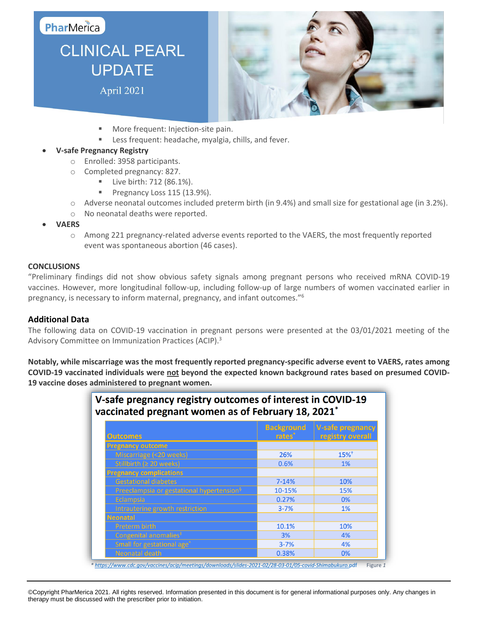## PharMerica

# **CLINICAL PEARL UPDATE** April 2021



- More frequent: Injection-site pain.
- **EXEC** Less frequent: headache, myalgia, chills, and fever.

### **V-safe Pregnancy Registry**

- o Enrolled: 3958 participants.
- o Completed pregnancy: 827.
	- Live birth: 712 (86.1%).
	- Pregnancy Loss 115 (13.9%).
- $\circ$  Adverse neonatal outcomes included preterm birth (in 9.4%) and small size for gestational age (in 3.2%).
- o No neonatal deaths were reported.
- **VAERS**
	- o Among 221 pregnancy-related adverse events reported to the VAERS, the most frequently reported event was spontaneous abortion (46 cases).

#### **CONCLUSIONS**

"Preliminary findings did not show obvious safety signals among pregnant persons who received mRNA COVID-19 vaccines. However, more longitudinal follow-up, including follow-up of large numbers of women vaccinated earlier in pregnancy, is necessary to inform maternal, pregnancy, and infant outcomes." 6

#### **Additional Data**

The following data on COVID-19 vaccination in pregnant persons were presented at the 03/01/2021 meeting of the Advisory Committee on Immunization Practices (ACIP).<sup>3</sup>

**Notably, while miscarriage was the most frequently reported pregnancy-specific adverse event to VAERS, rates among COVID-19 vaccinated individuals were not beyond the expected known background rates based on presumed COVID-19 vaccine doses administered to pregnant women.**

| <b>Outcomes</b>                                       | <b>Background</b><br>rates <sup>*</sup> | <b>V-safe pregnancy</b><br>registry overall |
|-------------------------------------------------------|-----------------------------------------|---------------------------------------------|
| <b>Pregnancy outcome</b>                              |                                         |                                             |
| Miscarriage (<20 weeks)                               | 26%                                     | $15%$ <sup>†</sup>                          |
| Stillbirth ( $\geq 20$ weeks)                         | 0.6%                                    | 1%                                          |
| <b>Pregnancy complications</b>                        |                                         |                                             |
| <b>Gestational diabetes</b>                           | $7 - 14%$                               | 10%                                         |
| Preeclampsia or gestational hypertension <sup>§</sup> | 10-15%                                  | 15%                                         |
| Eclampsia                                             | 0.27%                                   | 0%                                          |
| Intrauterine growth restriction                       | $3 - 7%$                                | 1%                                          |
| <b>Neonatal</b>                                       |                                         |                                             |
| Preterm birth                                         | 10.1%                                   | 10%                                         |
| Congenital anomalies <sup>#</sup>                     | 3%                                      | 4%                                          |
| Small for gestational age <sup>^</sup>                | $3 - 7%$                                | 4%                                          |
| <b>Neonatal death</b>                                 | 0.38%                                   | 0%                                          |

©Copyright PharMerica 2021. All rights reserved. Information presented in this document is for general informational purposes only. Any changes in therapy must be discussed with the prescriber prior to initiation.